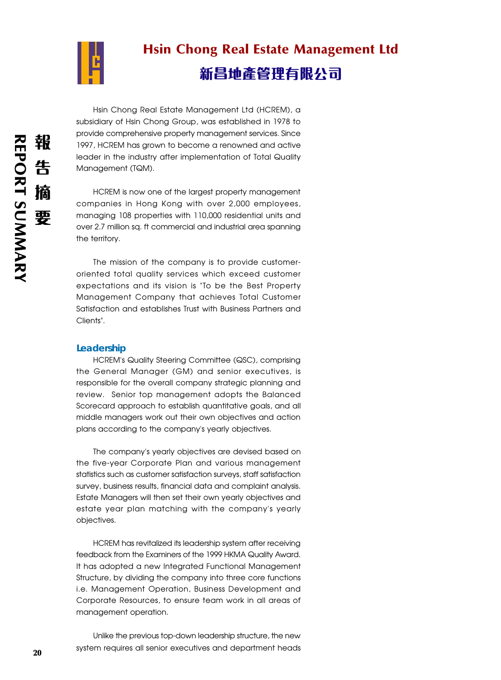

# Hsin Chong Real Estate Management Ltd 新昌地產管理有限公司

Hsin Chong Real Estate Management Ltd (HCREM), a subsidiary of Hsin Chong Group, was established in 1978 to provide comprehensive property management services. Since 1997, HCREM has grown to become a renowned and active leader in the industry after implementation of Total Quality Management (TQM).

HCREM is now one of the largest property management companies in Hong Kong with over 2,000 employees, managing 108 properties with 110,000 residential units and over 2.7 million sq. ft commercial and industrial area spanning the territory.

The mission of the company is to provide customeroriented total quality services which exceed customer expectations and its vision is "To be the Best Property Management Company that achieves Total Customer Satisfaction and establishes Trust with Business Partners and Clients".

# **Leadership**

HCREM's Quality Steering Committee (QSC), comprising the General Manager (GM) and senior executives, is responsible for the overall company strategic planning and review. Senior top management adopts the Balanced Scorecard approach to establish quantitative goals, and all middle managers work out their own objectives and action plans according to the company's yearly objectives.

The company's yearly objectives are devised based on the five-year Corporate Plan and various management statistics such as customer satisfaction surveys, staff satisfaction survey, business results, financial data and complaint analysis. Estate Managers will then set their own yearly objectives and estate year plan matching with the company's yearly objectives.

HCREM has revitalized its leadership system after receiving feedback from the Examiners of the 1999 HKMA Quality Award. It has adopted a new Integrated Functional Management Structure, by dividing the company into three core functions i.e. Management Operation, Business Development and Corporate Resources, to ensure team work in all areas of management operation.

Unlike the previous top-down leadership structure, the new system requires all senior executives and department heads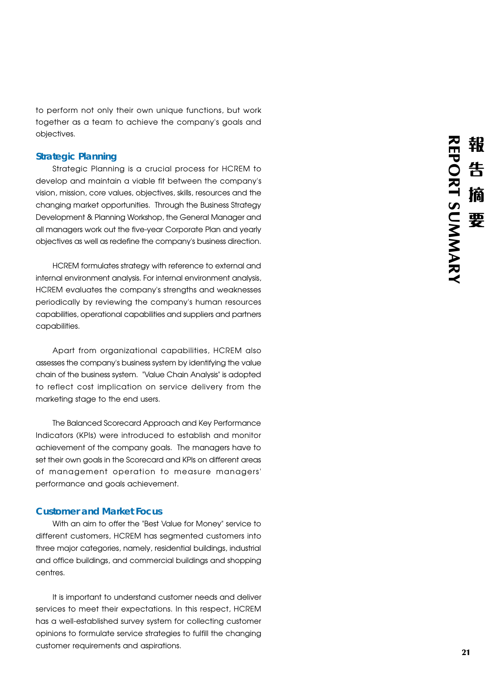to perform not only their own unique functions, but work together as a team to achieve the company's goals and objectives.

## **Strategic Planning**

Strategic Planning is a crucial process for HCREM to develop and maintain a viable fit between the company's vision, mission, core values, objectives, skills, resources and the changing market opportunities. Through the Business Strategy Development & Planning Workshop, the General Manager and all managers work out the five-year Corporate Plan and yearly objectives as well as redefine the company's business direction.

HCREM formulates strategy with reference to external and internal environment analysis. For internal environment analysis, HCREM evaluates the company's strengths and weaknesses periodically by reviewing the company's human resources capabilities, operational capabilities and suppliers and partners capabilities.

Apart from organizational capabilities, HCREM also assesses the company's business system by identifying the value chain of the business system. "Value Chain Analysis" is adopted to reflect cost implication on service delivery from the marketing stage to the end users.

The Balanced Scorecard Approach and Key Performance Indicators (KPIs) were introduced to establish and monitor achievement of the company goals. The managers have to set their own goals in the Scorecard and KPIs on different areas of management operation to measure managers' performance and goals achievement.

# **Customer and Market Focus**

With an aim to offer the "Best Value for Money" service to different customers, HCREM has segmented customers into three major categories, namely, residential buildings, industrial and office buildings, and commercial buildings and shopping centres.

It is important to understand customer needs and deliver services to meet their expectations. In this respect, HCREM has a well-established survey system for collecting customer opinions to formulate service strategies to fulfill the changing customer requirements and aspirations.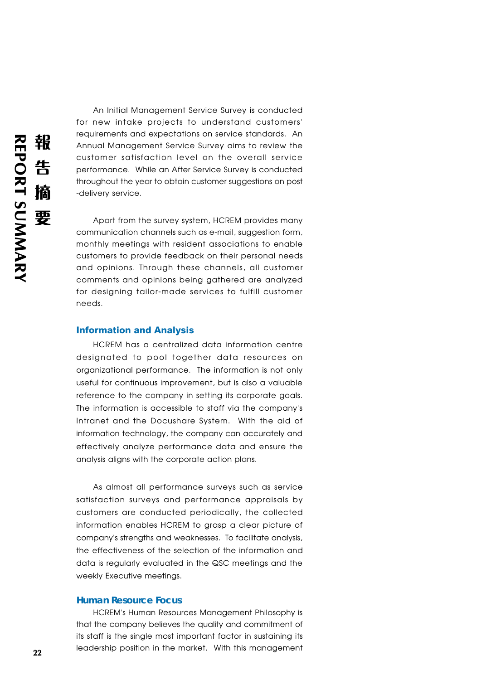An Initial Management Service Survey is conducted for new intake projects to understand customers' requirements and expectations on service standards. An Annual Management Service Survey aims to review the customer satisfaction level on the overall service performance. While an After Service Survey is conducted throughout the year to obtain customer suggestions on post -delivery service.

Apart from the survey system, HCREM provides many communication channels such as e-mail, suggestion form, monthly meetings with resident associations to enable customers to provide feedback on their personal needs and opinions. Through these channels, all customer comments and opinions being gathered are analyzed for designing tailor-made services to fulfill customer needs.

#### **Information and Analysis**

HCREM has a centralized data information centre designated to pool together data resources on organizational performance. The information is not only useful for continuous improvement, but is also a valuable reference to the company in setting its corporate goals. The information is accessible to staff via the company's Intranet and the Docushare System. With the aid of information technology, the company can accurately and effectively analyze performance data and ensure the analysis aligns with the corporate action plans.

As almost all performance surveys such as service satisfaction surveys and performance appraisals by customers are conducted periodically, the collected information enables HCREM to grasp a clear picture of company's strengths and weaknesses. To facilitate analysis, the effectiveness of the selection of the information and data is regularly evaluated in the QSC meetings and the weekly Executive meetings.

### **Human Resource Focus**

HCREM's Human Resources Management Philosophy is that the company believes the quality and commitment of its staff is the single most important factor in sustaining its leadership position in the market. With this management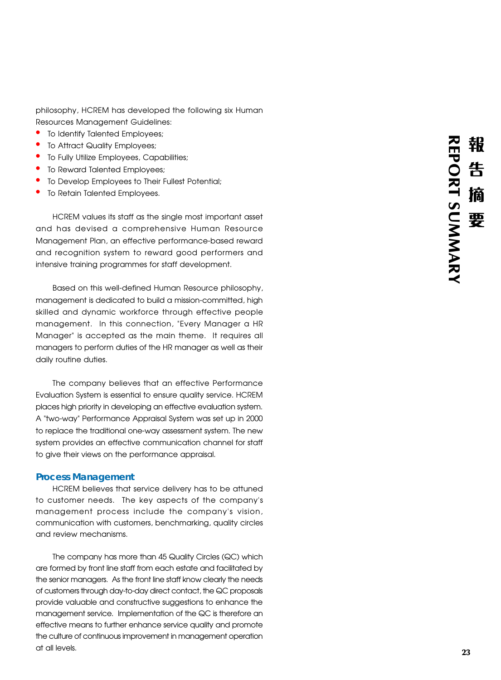philosophy, HCREM has developed the following six Human

- 
- 
- 
- 
- Resources Management Guidelines:<br>• To Identify Talented Employees;<br>• To Attract Quality Employees;<br>• To Fully Utilize Employees, Capabilities;<br>• To Reward Talented Employees;<br>• To Develop Employees to Their Fullest Potenti
- 

HCREM values its staff as the single most important asset and has devised a comprehensive Human Resource Management Plan, an effective performance-based reward and recognition system to reward good performers and intensive training programmes for staff development.

Based on this well-defined Human Resource philosophy, management is dedicated to build a mission-committed, high skilled and dynamic workforce through effective people management. In this connection, "Every Manager a HR Manager" is accepted as the main theme. It requires all managers to perform duties of the HR manager as well as their daily routine duties.

The company believes that an effective Performance Evaluation System is essential to ensure quality service. HCREM places high priority in developing an effective evaluation system. A "two-way" Performance Appraisal System was set up in 2000 to replace the traditional one-way assessment system. The new system provides an effective communication channel for staff to give their views on the performance appraisal.

#### **Process Management**

HCREM believes that service delivery has to be attuned to customer needs. The key aspects of the company's management process include the company's vision, communication with customers, benchmarking, quality circles and review mechanisms.

The company has more than 45 Quality Circles (QC) which are formed by front line staff from each estate and facilitated by the senior managers. As the front line staff know clearly the needs of customers through day-to-day direct contact, the QC proposals provide valuable and constructive suggestions to enhance the management service. Implementation of the QC is therefore an effective means to further enhance service quality and promote the culture of continuous improvement in management operation at all levels.